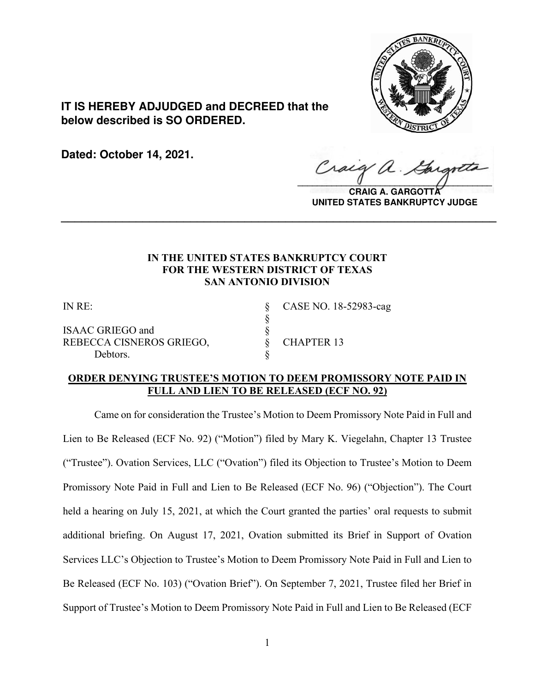

**IT IS HEREBY ADJUDGED and DECREED that the below described is SO ORDERED.**

**Dated: October 14, 2021.**

 $\sqrt{2}$ 

**CRAIG A. GARGOTTA UNITED STATES BANKRUPTCY JUDGE**

# **IN THE UNITED STATES BANKRUPTCY COURT FOR THE WESTERN DISTRICT OF TEXAS SAN ANTONIO DIVISION**

**\_\_\_\_\_\_\_\_\_\_\_\_\_\_\_\_\_\_\_\_\_\_\_\_\_\_\_\_\_\_\_\_\_\_\_\_\_\_\_\_\_\_\_\_\_\_\_\_\_\_\_\_\_\_\_\_\_\_\_\_\_\_\_\_**

§

ISAAC GRIEGO and § REBECCA CISNEROS GRIEGO, § CHAPTER 13 Debtors.

IN RE: § CASE NO. 18-52983-cag

## **ORDER DENYING TRUSTEE'S MOTION TO DEEM PROMISSORY NOTE PAID IN FULL AND LIEN TO BE RELEASED (ECF NO. 92)**

Came on for consideration the Trustee's Motion to Deem Promissory Note Paid in Full and Lien to Be Released (ECF No. 92) ("Motion") filed by Mary K. Viegelahn, Chapter 13 Trustee ("Trustee"). Ovation Services, LLC ("Ovation") filed its Objection to Trustee's Motion to Deem Promissory Note Paid in Full and Lien to Be Released (ECF No. 96) ("Objection"). The Court held a hearing on July 15, 2021, at which the Court granted the parties' oral requests to submit additional briefing. On August 17, 2021, Ovation submitted its Brief in Support of Ovation Services LLC's Objection to Trustee's Motion to Deem Promissory Note Paid in Full and Lien to Be Released (ECF No. 103) ("Ovation Brief"). On September 7, 2021, Trustee filed her Brief in Support of Trustee's Motion to Deem Promissory Note Paid in Full and Lien to Be Released (ECF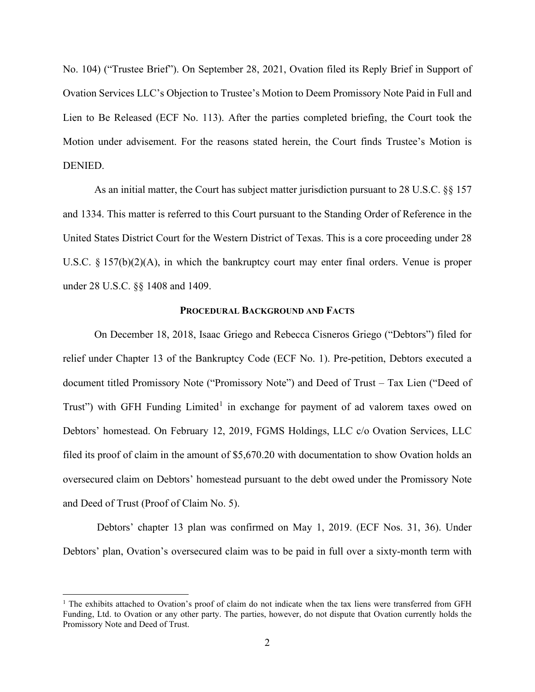No. 104) ("Trustee Brief"). On September 28, 2021, Ovation filed its Reply Brief in Support of Ovation Services LLC's Objection to Trustee's Motion to Deem Promissory Note Paid in Full and Lien to Be Released (ECF No. 113). After the parties completed briefing, the Court took the Motion under advisement. For the reasons stated herein, the Court finds Trustee's Motion is DENIED.

As an initial matter, the Court has subject matter jurisdiction pursuant to 28 U.S.C. §§ 157 and 1334. This matter is referred to this Court pursuant to the Standing Order of Reference in the United States District Court for the Western District of Texas. This is a core proceeding under 28 U.S.C. § 157(b)(2)(A), in which the bankruptcy court may enter final orders. Venue is proper under 28 U.S.C. §§ 1408 and 1409.

### **PROCEDURAL BACKGROUND AND FACTS**

On December 18, 2018, Isaac Griego and Rebecca Cisneros Griego ("Debtors") filed for relief under Chapter 13 of the Bankruptcy Code (ECF No. 1). Pre-petition, Debtors executed a document titled Promissory Note ("Promissory Note") and Deed of Trust – Tax Lien ("Deed of Trust") with GFH Funding Limited<sup>[1](#page-1-0)</sup> in exchange for payment of ad valorem taxes owed on Debtors' homestead. On February 12, 2019, FGMS Holdings, LLC c/o Ovation Services, LLC filed its proof of claim in the amount of \$5,670.20 with documentation to show Ovation holds an oversecured claim on Debtors' homestead pursuant to the debt owed under the Promissory Note and Deed of Trust (Proof of Claim No. 5).

Debtors' chapter 13 plan was confirmed on May 1, 2019. (ECF Nos. 31, 36). Under Debtors' plan, Ovation's oversecured claim was to be paid in full over a sixty-month term with

<span id="page-1-0"></span><sup>&</sup>lt;sup>1</sup> The exhibits attached to Ovation's proof of claim do not indicate when the tax liens were transferred from GFH Funding, Ltd. to Ovation or any other party. The parties, however, do not dispute that Ovation currently holds the Promissory Note and Deed of Trust.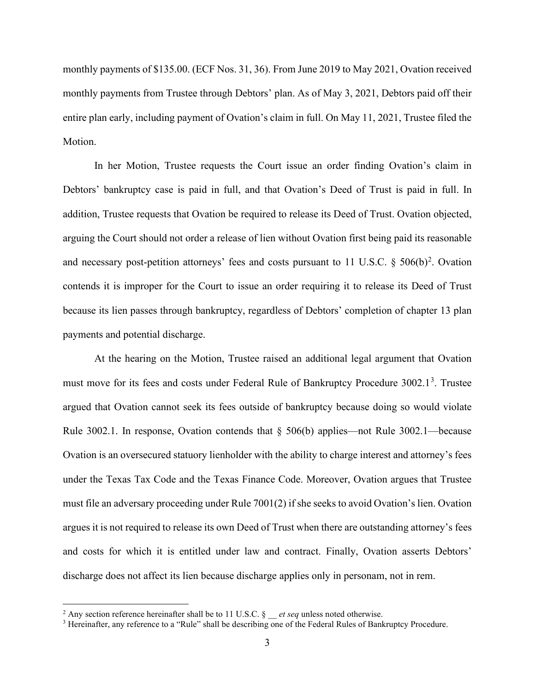monthly payments of \$135.00. (ECF Nos. 31, 36). From June 2019 to May 2021, Ovation received monthly payments from Trustee through Debtors' plan. As of May 3, 2021, Debtors paid off their entire plan early, including payment of Ovation's claim in full. On May 11, 2021, Trustee filed the Motion.

In her Motion, Trustee requests the Court issue an order finding Ovation's claim in Debtors' bankruptcy case is paid in full, and that Ovation's Deed of Trust is paid in full. In addition, Trustee requests that Ovation be required to release its Deed of Trust. Ovation objected, arguing the Court should not order a release of lien without Ovation first being paid its reasonable and necessary post-petition attorneys' fees and costs pursuant to 11 U.S.C.  $\S$  506(b)<sup>[2](#page-2-0)</sup>. Ovation contends it is improper for the Court to issue an order requiring it to release its Deed of Trust because its lien passes through bankruptcy, regardless of Debtors' completion of chapter 13 plan payments and potential discharge.

At the hearing on the Motion, Trustee raised an additional legal argument that Ovation must move for its fees and costs under Federal Rule of Bankruptcy Procedure [3](#page-2-1)002.1<sup>3</sup>. Trustee argued that Ovation cannot seek its fees outside of bankruptcy because doing so would violate Rule 3002.1. In response, Ovation contends that  $\S$  506(b) applies—not Rule 3002.1—because Ovation is an oversecured statuory lienholder with the ability to charge interest and attorney's fees under the Texas Tax Code and the Texas Finance Code. Moreover, Ovation argues that Trustee must file an adversary proceeding under Rule 7001(2) if she seeks to avoid Ovation's lien. Ovation argues it is not required to release its own Deed of Trust when there are outstanding attorney's fees and costs for which it is entitled under law and contract. Finally, Ovation asserts Debtors' discharge does not affect its lien because discharge applies only in personam, not in rem.

<span id="page-2-1"></span>

<span id="page-2-0"></span><sup>&</sup>lt;sup>2</sup> Any section reference hereinafter shall be to 11 U.S.C.  $\frac{g}{g}$  *et seq* unless noted otherwise.<br><sup>3</sup> Hereinafter, any reference to a "Rule" shall be describing one of the Federal Rules of Bankruptcy Procedure.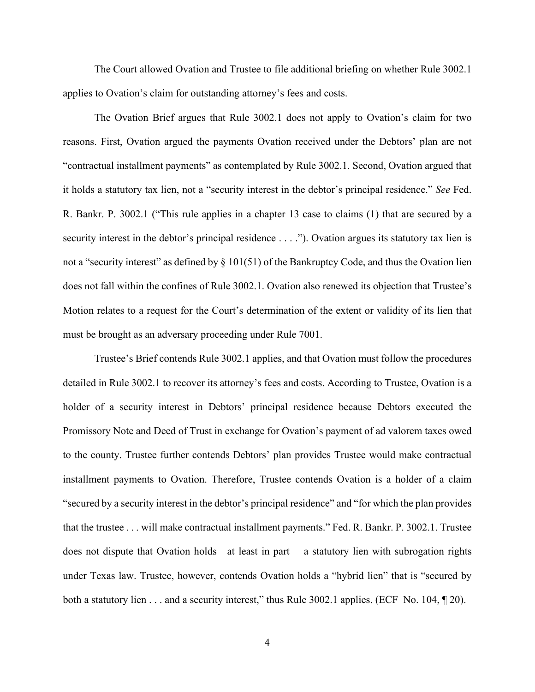The Court allowed Ovation and Trustee to file additional briefing on whether Rule 3002.1 applies to Ovation's claim for outstanding attorney's fees and costs.

The Ovation Brief argues that Rule 3002.1 does not apply to Ovation's claim for two reasons. First, Ovation argued the payments Ovation received under the Debtors' plan are not "contractual installment payments" as contemplated by Rule 3002.1. Second, Ovation argued that it holds a statutory tax lien, not a "security interest in the debtor's principal residence." *See* Fed. R. Bankr. P. 3002.1 ("This rule applies in a chapter 13 case to claims (1) that are secured by a security interest in the debtor's principal residence . . . ."). Ovation argues its statutory tax lien is not a "security interest" as defined by § 101(51) of the Bankruptcy Code, and thus the Ovation lien does not fall within the confines of Rule 3002.1. Ovation also renewed its objection that Trustee's Motion relates to a request for the Court's determination of the extent or validity of its lien that must be brought as an adversary proceeding under Rule 7001.

Trustee's Brief contends Rule 3002.1 applies, and that Ovation must follow the procedures detailed in Rule 3002.1 to recover its attorney's fees and costs. According to Trustee, Ovation is a holder of a security interest in Debtors' principal residence because Debtors executed the Promissory Note and Deed of Trust in exchange for Ovation's payment of ad valorem taxes owed to the county. Trustee further contends Debtors' plan provides Trustee would make contractual installment payments to Ovation. Therefore, Trustee contends Ovation is a holder of a claim "secured by a security interest in the debtor's principal residence" and "for which the plan provides that the trustee . . . will make contractual installment payments." Fed. R. Bankr. P. 3002.1. Trustee does not dispute that Ovation holds—at least in part— a statutory lien with subrogation rights under Texas law. Trustee, however, contends Ovation holds a "hybrid lien" that is "secured by both a statutory lien . . . and a security interest," thus Rule 3002.1 applies. (ECF No. 104, ¶ 20).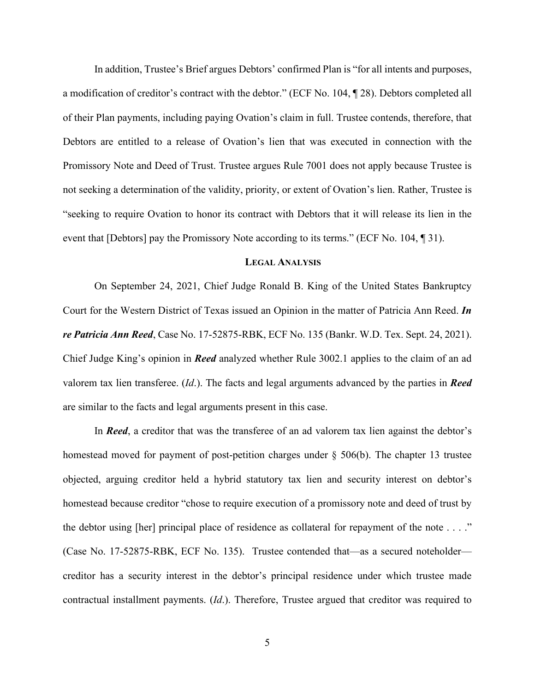In addition, Trustee's Brief argues Debtors' confirmed Plan is "for all intents and purposes, a modification of creditor's contract with the debtor." (ECF No. 104, ¶ 28). Debtors completed all of their Plan payments, including paying Ovation's claim in full. Trustee contends, therefore, that Debtors are entitled to a release of Ovation's lien that was executed in connection with the Promissory Note and Deed of Trust. Trustee argues Rule 7001 does not apply because Trustee is not seeking a determination of the validity, priority, or extent of Ovation's lien. Rather, Trustee is "seeking to require Ovation to honor its contract with Debtors that it will release its lien in the event that [Debtors] pay the Promissory Note according to its terms." (ECF No. 104, 191).

#### **LEGAL ANALYSIS**

On September 24, 2021, Chief Judge Ronald B. King of the United States Bankruptcy Court for the Western District of Texas issued an Opinion in the matter of Patricia Ann Reed. *In re Patricia Ann Reed*, Case No. 17-52875-RBK, ECF No. 135 (Bankr. W.D. Tex. Sept. 24, 2021). Chief Judge King's opinion in *Reed* analyzed whether Rule 3002.1 applies to the claim of an ad valorem tax lien transferee. (*Id*.). The facts and legal arguments advanced by the parties in *Reed*  are similar to the facts and legal arguments present in this case.

In *Reed*, a creditor that was the transferee of an ad valorem tax lien against the debtor's homestead moved for payment of post-petition charges under § 506(b). The chapter 13 trustee objected, arguing creditor held a hybrid statutory tax lien and security interest on debtor's homestead because creditor "chose to require execution of a promissory note and deed of trust by the debtor using [her] principal place of residence as collateral for repayment of the note . . . ." (Case No. 17-52875-RBK, ECF No. 135). Trustee contended that—as a secured noteholder creditor has a security interest in the debtor's principal residence under which trustee made contractual installment payments. (*Id*.). Therefore, Trustee argued that creditor was required to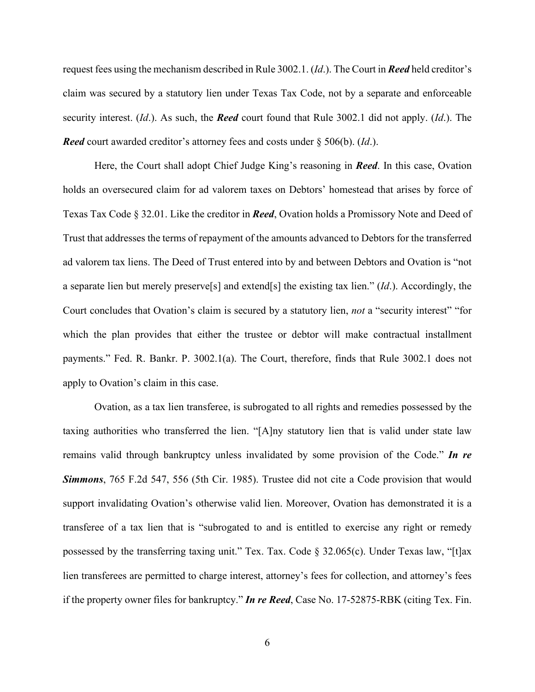request fees using the mechanism described in Rule 3002.1. (*Id*.). The Court in *Reed* held creditor's claim was secured by a statutory lien under Texas Tax Code, not by a separate and enforceable security interest. (*Id*.). As such, the *Reed* court found that Rule 3002.1 did not apply. (*Id*.). The *Reed* court awarded creditor's attorney fees and costs under § 506(b). (*Id*.).

Here, the Court shall adopt Chief Judge King's reasoning in *Reed*. In this case, Ovation holds an oversecured claim for ad valorem taxes on Debtors' homestead that arises by force of Texas Tax Code § 32.01. Like the creditor in *Reed*, Ovation holds a Promissory Note and Deed of Trust that addresses the terms of repayment of the amounts advanced to Debtors for the transferred ad valorem tax liens. The Deed of Trust entered into by and between Debtors and Ovation is "not a separate lien but merely preserve[s] and extend[s] the existing tax lien." (*Id*.). Accordingly, the Court concludes that Ovation's claim is secured by a statutory lien, *not* a "security interest" "for which the plan provides that either the trustee or debtor will make contractual installment payments." Fed. R. Bankr. P. 3002.1(a). The Court, therefore, finds that Rule 3002.1 does not apply to Ovation's claim in this case.

Ovation, as a tax lien transferee, is subrogated to all rights and remedies possessed by the taxing authorities who transferred the lien. "[A]ny statutory lien that is valid under state law remains valid through bankruptcy unless invalidated by some provision of the Code." *In re Simmons*, 765 F.2d 547, 556 (5th Cir. 1985). Trustee did not cite a Code provision that would support invalidating Ovation's otherwise valid lien. Moreover, Ovation has demonstrated it is a transferee of a tax lien that is "subrogated to and is entitled to exercise any right or remedy possessed by the transferring taxing unit." Tex. Tax. Code § 32.065(c). Under Texas law, "[t]ax lien transferees are permitted to charge interest, attorney's fees for collection, and attorney's fees if the property owner files for bankruptcy." *In re Reed*, Case No. 17-52875-RBK (citing Tex. Fin.